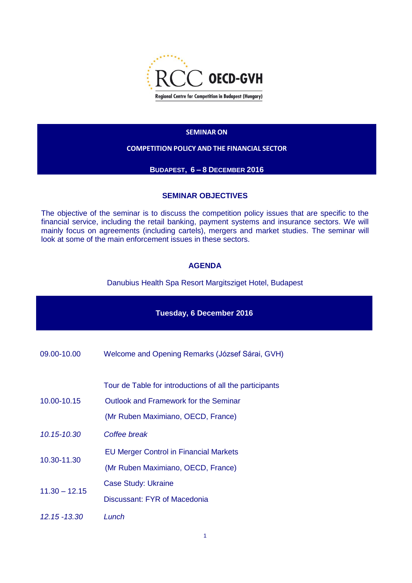

#### **SEMINAR ON**

## **COMPETITION POLICY AND THE FINANCIAL SECTOR**

#### **BUDAPEST, 6 – 8 DECEMBER 2016**

## **SEMINAR OBJECTIVES**

The objective of the seminar is to discuss the competition policy issues that are specific to the financial service, including the retail banking, payment systems and insurance sectors. We will mainly focus on agreements (including cartels), mergers and market studies. The seminar will look at some of the main enforcement issues in these sectors.

## **AGENDA**

Danubius Health Spa Resort Margitsziget Hotel, Budapest

| Tuesday, 6 December 2016 |                                                         |  |
|--------------------------|---------------------------------------------------------|--|
| 09.00-10.00              | Welcome and Opening Remarks (József Sárai, GVH)         |  |
| 10.00-10.15              | Tour de Table for introductions of all the participants |  |
|                          | Outlook and Framework for the Seminar                   |  |
|                          | (Mr Ruben Maximiano, OECD, France)                      |  |
| 10.15-10.30              | Coffee break                                            |  |
| 10.30-11.30              | <b>EU Merger Control in Financial Markets</b>           |  |
|                          | (Mr Ruben Maximiano, OECD, France)                      |  |
| $11.30 - 12.15$          | Case Study: Ukraine                                     |  |
|                          | Discussant: FYR of Macedonia                            |  |
| $12.15 - 13.30$          | Lunch                                                   |  |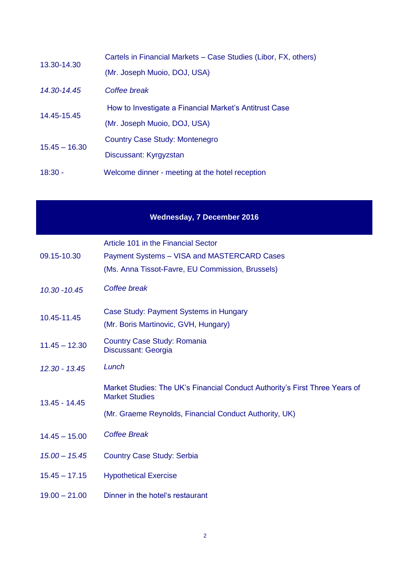| 13.30-14.30     | Cartels in Financial Markets – Case Studies (Libor, FX, others) |
|-----------------|-----------------------------------------------------------------|
|                 | (Mr. Joseph Muoio, DOJ, USA)                                    |
| 14.30-14.45     | Coffee break                                                    |
| 14.45-15.45     | How to Investigate a Financial Market's Antitrust Case          |
|                 | (Mr. Joseph Muoio, DOJ, USA)                                    |
| $15.45 - 16.30$ | Country Case Study: Montenegro                                  |
|                 | Discussant: Kyrgyzstan                                          |
| $18:30 -$       | Welcome dinner - meeting at the hotel reception                 |

# **Wednesday, 7 December 2016**

| 09.15-10.30     | Article 101 in the Financial Sector<br>Payment Systems - VISA and MASTERCARD Cases<br>(Ms. Anna Tissot-Favre, EU Commission, Brussels) |
|-----------------|----------------------------------------------------------------------------------------------------------------------------------------|
| $10.30 - 10.45$ | Coffee break                                                                                                                           |
| 10.45-11.45     | Case Study: Payment Systems in Hungary<br>(Mr. Boris Martinovic, GVH, Hungary)                                                         |
| $11.45 - 12.30$ | <b>Country Case Study: Romania</b><br>Discussant: Georgia                                                                              |
| $12.30 - 13.45$ | Lunch                                                                                                                                  |
| 13.45 - 14.45   | Market Studies: The UK's Financial Conduct Authority's First Three Years of<br><b>Market Studies</b>                                   |
|                 | (Mr. Graeme Reynolds, Financial Conduct Authority, UK)                                                                                 |
| $14.45 - 15.00$ | <b>Coffee Break</b>                                                                                                                    |
| $15.00 - 15.45$ | <b>Country Case Study: Serbia</b>                                                                                                      |
| $15.45 - 17.15$ | <b>Hypothetical Exercise</b>                                                                                                           |
| $19.00 - 21.00$ | Dinner in the hotel's restaurant                                                                                                       |